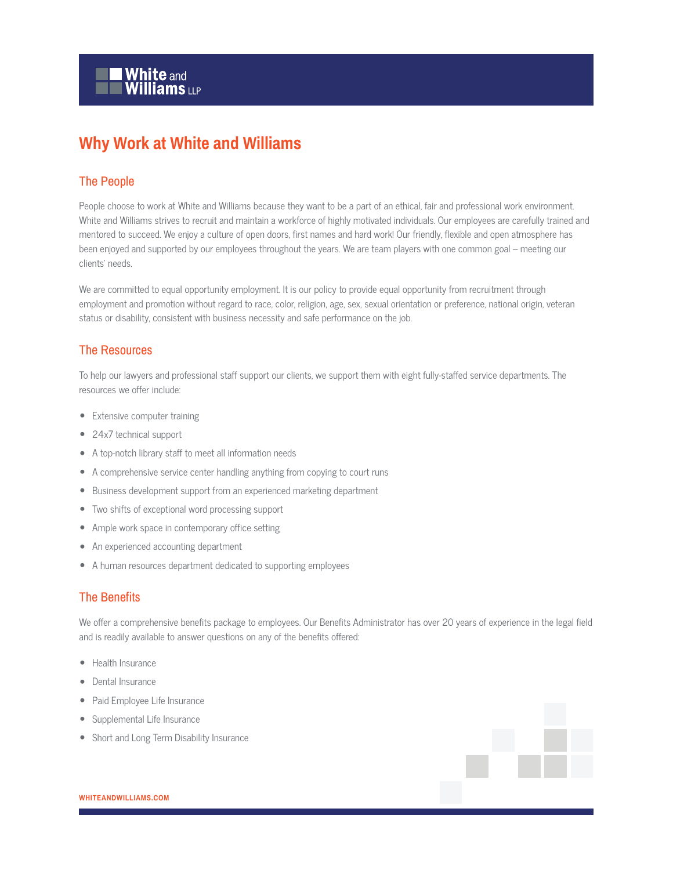## **Why Work at White and Williams**

## The People

People choose to work at White and Williams because they want to be a part of an ethical, fair and professional work environment. White and Williams strives to recruit and maintain a workforce of highly motivated individuals. Our employees are carefully trained and mentored to succeed. We enjoy a culture of open doors, first names and hard work! Our friendly, flexible and open atmosphere has been enjoyed and supported by our employees throughout the years. We are team players with one common goal – meeting our clients' needs.

We are committed to equal opportunity employment. It is our policy to provide equal opportunity from recruitment through employment and promotion without regard to race, color, religion, age, sex, sexual orientation or preference, national origin, veteran status or disability, consistent with business necessity and safe performance on the job.

## The Resources

To help our lawyers and professional staff support our clients, we support them with eight fully-staffed service departments. The resources we offer include:

- Extensive computer training
- 24x7 technical support
- A top-notch library staff to meet all information needs
- A comprehensive service center handling anything from copying to court runs
- Business development support from an experienced marketing department
- Two shifts of exceptional word processing support
- Ample work space in contemporary office setting
- An experienced accounting department
- A human resources department dedicated to supporting employees

## The Benefits

We offer a comprehensive benefits package to employees. Our Benefits Administrator has over 20 years of experience in the legal field and is readily available to answer questions on any of the benefits offered:

- Health Insurance
- Dental Insurance
- Paid Employee Life Insurance
- Supplemental Life Insurance
- Short and Long Term Disability Insurance